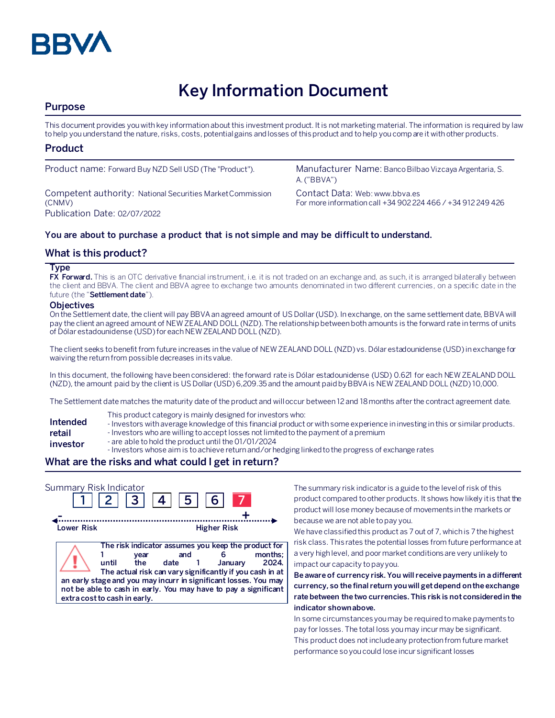

# **Key Information Document**

# **Purpose**

This document provides you with key information about this investment product. It is not marketing material. The information is required by law to help you understand the nature, risks, costs, potential gains and losses of this product and to help you compare it with other products.

# **Product**

Competent authority: National Securities Market Commission (CNMV) Publication Date: 02/07/2022

Product name: Forward Buy NZD Sell USD (The "Product"). Manufacturer Name: Banco Bilbao Vizcaya Argentaria, S. A. ("BBVA")

> Contact Data: Web: www.bbva.es For more information call +34 902 224 466 / +34 912 249 426

## **You are about to purchase a product that is not simple and may be difficult to understand.**

# **What is this product?**

#### **Type**

**FX Forward.** This is an OTC derivative financial instrument, i.e. it is not traded on an exchange and, as such, it is arranged bilaterally between the client and BBVA. The client and BBVA agree to exchange two amounts denominated in two different currencies, on a specific date in the future (the "**Settlement date**").

#### **Objectives**

On the Settlement date, the client will pay BBVA an agreed amount of US Dollar(USD). In exchange, on the same settlement date, BBVA will pay the client an agreed amount of NEW ZEALAND DOLL (NZD). The relationship between both amounts is the forward rate in terms of units of Dólar estadounidense (USD)for each NEW ZEALAND DOLL (NZD).

The client seeks to benefit from future increases in the value of NEW ZEALAND DOLL (NZD) vs. Dólar estadounidense (USD) in exchange for waiving the return from possible decreases in its value.

In this document, the following have been considered: the forward rate is Dólar estadounidense (USD) 0.621 for each NEW ZEALAND DOLL (NZD), the amount paid by the client is US Dollar(USD)6,209.35 and the amount paidby BBVA is NEW ZEALAND DOLL (NZD) 10,000.

The Settlement date matches the maturity date of the product and will occur between 12 and 18 months after the contract agreement date.

- This product category is mainly designed for investors who:
- **Intended**  - Investors with average knowledge of this financial product or with some experience in investing in this or similar products.
- **retail**  - Investors who are willing to accept losses not limited to the payment of a premium
- **investor** - are able to hold the product until the 01/01/2024
	- Investors whose aim is to achieve return and/or hedging linked to the progress of exchange rates

# **What are the risks and what could I get in return?**

| Summary Risk Indicator | $2 \mid 3 \mid 4 \mid$                                                                                                                                                                      | $ 5 $ 6                                                                                                                          |                    |                 |
|------------------------|---------------------------------------------------------------------------------------------------------------------------------------------------------------------------------------------|----------------------------------------------------------------------------------------------------------------------------------|--------------------|-----------------|
| Lower Risk             |                                                                                                                                                                                             |                                                                                                                                  | <b>Higher Risk</b> |                 |
|                        | year<br>until<br>the<br>an early stage and you may incurr in significant losses. You may<br>not be able to cash in early. You may have to pay a significant<br>extra cost to cash in early. | The risk indicator assumes you keep the product for<br>and<br>date 1<br>The actual risk can vary significantly if you cash in at | January            | months:<br>2024 |

The summary risk indicator is a guide to the level of risk of this product compared to other products. It shows how likely it is that the product will lose money because of movements in the markets or because we are not able to pay you.

We have classified this product as 7 out of 7, which is 7 the highest risk class. This rates the potential losses from future performance at a very high level, and poor market conditions are very unlikely to impact our capacity to pay you.

**Be aware of currency risk. You will receive payments in a different currency, so the final return you will get depend on the exchange rate between the two currencies. This risk is not considered in the indicator shown above.**

In some circumstances you may be required to make payments to pay for losses. The total loss you may incur may be significant. This product does not include any protection from future market performance so you could lose incur significant losses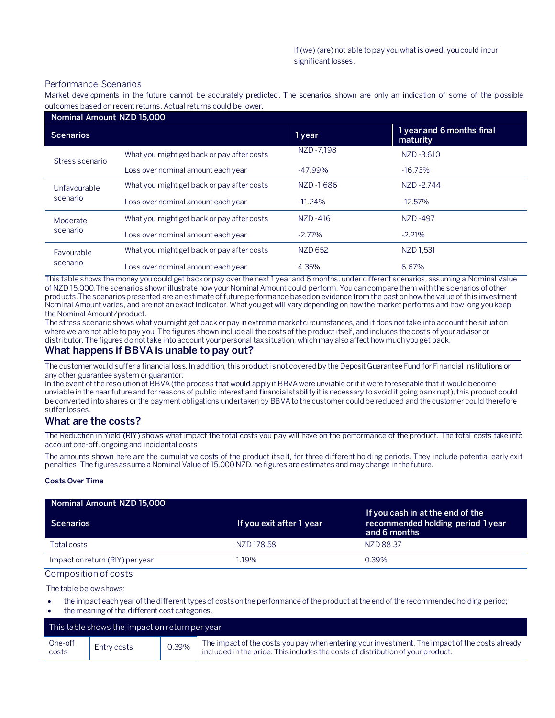#### Performance Scenarios

Market developments in the future cannot be accurately predicted. The scenarios shown are only an indication of some of the p ossible outcomes based on recent returns. Actual returns could be lower.

| Nominal Amount NZD 15,000 |                                            |                |                                       |
|---------------------------|--------------------------------------------|----------------|---------------------------------------|
| <b>Scenarios</b>          |                                            | 1 year         | 1 year and 6 months final<br>maturity |
| Stress scenario           | What you might get back or pay after costs | NZD-7.198      | NZD-3.610                             |
|                           | Loss over nominal amount each year         | $-47.99\%$     | $-16.73\%$                            |
| Unfavourable<br>scenario  | What you might get back or pay after costs | NZD-1.686      | NZD-2.744                             |
|                           | Loss over nominal amount each year         | $-11.24%$      | $-12.57%$                             |
| Moderate<br>scenario      | What you might get back or pay after costs | NZD-416        | NZD-497                               |
|                           | Loss over nominal amount each year         | $-2.77\%$      | $-2.21%$                              |
| Favourable<br>scenario    | What you might get back or pay after costs | <b>NZD 652</b> | NZD 1,531                             |
|                           | Loss over nominal amount each year         | 4.35%          | 6.67%                                 |

This table shows the money you could get back or pay over the next 1 year and 6 months, under different scenarios, assuming a Nominal Value of NZD 15,000.The scenarios shown illustrate how your Nominal Amount could perform. You can compare them with the scenarios of other products.The scenarios presented are an estimate of future performance based on evidence from the past on how the value of this investment Nominal Amount varies, and are not an exact indicator. What you get will vary depending on how the market performs and how long you keep the Nominal Amount/product.

The stress scenario shows what you might get back or pay in extreme market circumstances, and it does not take into account the situation where we are not able to pay you. The figures shown include all the costs of the product itself, and includes the costs of your advisor or distributor. The figures do not take into account your personal tax situation, which may also affect how much you get back.

## **What happens if BBVA is unable to pay out?**

The customer would suffer a financial loss. In addition, this product is not covered by the Deposit Guarantee Fund for Financial Institutions or any other guarantee system or guarantor.

In the event of the resolution of BBVA (the process that would apply if BBVA were unviable or if it were foreseeable that it would become unviable in the near future and for reasons of public interest and financial stability it is necessary to avoid it going bankrupt), this product could be converted into shares or the payment obligations undertaken by BBVA to the customer could be reduced and the customer could therefore suffer losses.

#### **What are the costs?**

The Reduction in Yield (RIY) shows what impact the total costs you pay will have on the performance of the product. The total costs take into account one-off, ongoing and incidental costs

The amounts shown here are the cumulative costs of the product itself, for three different holding periods. They include potential early exit penalties. The figures assume a Nominal Value of 15,000 NZD. he figures are estimates and may change in the future.

#### **Costs Over Time**

| Nominal Amount NZD 15,000       |                          |                                                                                       |
|---------------------------------|--------------------------|---------------------------------------------------------------------------------------|
| <b>Scenarios</b>                | If you exit after 1 year | If you cash in at the end of the<br>recommended holding period 1 year<br>and 6 months |
| Total costs                     | NZD 178.58               | NZD 88.37                                                                             |
| Impact on return (RIY) per year | 1.19%                    | $0.39\%$                                                                              |

Composition of costs

The table below shows:

- the impact each year of the different types of costs on the performance of the product at the end of the recommended holding period;
- the meaning of the different cost categories.

| This table shows the impact on return per year |             |       |                                                                                                                                                                                   |
|------------------------------------------------|-------------|-------|-----------------------------------------------------------------------------------------------------------------------------------------------------------------------------------|
| One-off<br>costs                               | Entry costs | 0.39% | The impact of the costs you pay when entering your investment. The impact of the costs already<br>included in the price. This includes the costs of distribution of your product. |